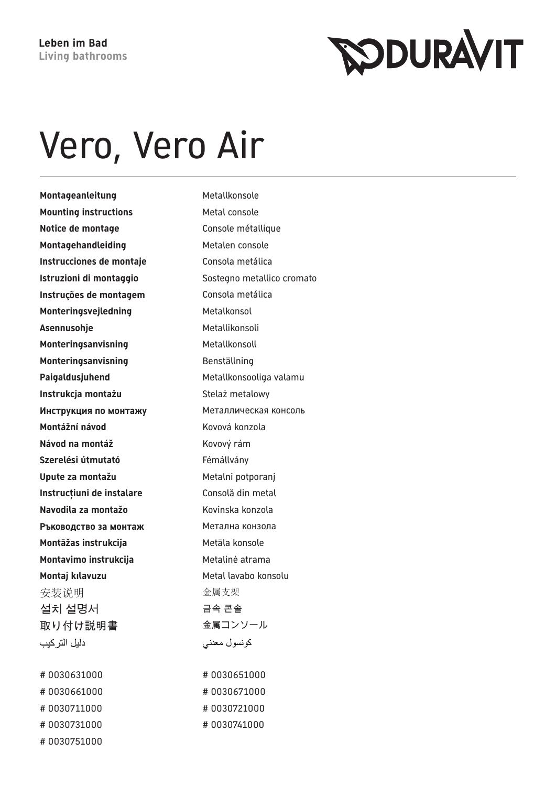## Vero, Vero Air

Montageanleitung Metallkonsole **Mounting instructions** Metal console **Notice de montage Console métallique Montagehandleiding** Metalen console **Instrucciones de montaje** Consola metálica **Instruções de montagem** Consola metálica **Monteringsvejledning** Metalkonsol Asennusohie **Metallikonsoli Monteringsanvisning** Metallkonsoll **Monteringsanvisning** Benställning Paigaldusjuhend Metallkonsooliga valamu **Instrukcja montażu** Stelaż metalowy **Инструкция по монтажу** Металлическая консоль **Montážní návod** Kovová konzola **Návod na montáž** Kovový rám Szerelési útmutató<br>
Fémállvány **Upute za montažu** Metalni potporanj **Instrucțiuni de instalare** Consolă din metal **Navodila za montažo** Kovinska konzola **Ръководство за монтаж Метална конзола Montāžas instrukcija** Metāla konsole **Montavimo instrukcija** Metalinė atrama **Montaj kılavuzu** Metal lavabo konsolu 安装说明 不可能的 医心室 金属支架 설치 설명서 정도 아이들은 금속 콘솔 取り付け説明書 みんちょう 金属コンソール دليل التر كيب

# 0030631000 # 0030651000 # 0030661000 # 0030671000 # 0030711000 # 0030721000 # 0030731000 # 0030741000 # 0030751000

**Istruzioni di montaggio** Sostegno metallico cromato كونسول معدني